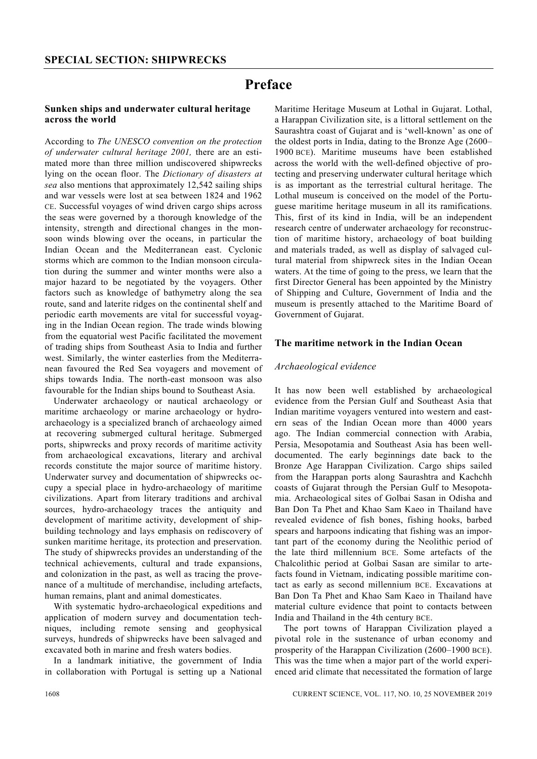# **Preface**

## **Sunken ships and underwater cultural heritage across the world**

According to *The UNESCO convention on the protection of underwater cultural heritage 2001,* there are an estimated more than three million undiscovered shipwrecks lying on the ocean floor. The *Dictionary of disasters at sea* also mentions that approximately 12,542 sailing ships and war vessels were lost at sea between 1824 and 1962 CE. Successful voyages of wind driven cargo ships across the seas were governed by a thorough knowledge of the intensity, strength and directional changes in the monsoon winds blowing over the oceans, in particular the Indian Ocean and the Mediterranean east. Cyclonic storms which are common to the Indian monsoon circulation during the summer and winter months were also a major hazard to be negotiated by the voyagers. Other factors such as knowledge of bathymetry along the sea route, sand and laterite ridges on the continental shelf and periodic earth movements are vital for successful voyaging in the Indian Ocean region. The trade winds blowing from the equatorial west Pacific facilitated the movement of trading ships from Southeast Asia to India and further west. Similarly, the winter easterlies from the Mediterranean favoured the Red Sea voyagers and movement of ships towards India. The north-east monsoon was also favourable for the Indian ships bound to Southeast Asia.

 Underwater archaeology or nautical archaeology or maritime archaeology or marine archaeology or hydroarchaeology is a specialized branch of archaeology aimed at recovering submerged cultural heritage. Submerged ports, shipwrecks and proxy records of maritime activity from archaeological excavations, literary and archival records constitute the major source of maritime history. Underwater survey and documentation of shipwrecks occupy a special place in hydro-archaeology of maritime civilizations. Apart from literary traditions and archival sources, hydro-archaeology traces the antiquity and development of maritime activity, development of shipbuilding technology and lays emphasis on rediscovery of sunken maritime heritage, its protection and preservation. The study of shipwrecks provides an understanding of the technical achievements, cultural and trade expansions, and colonization in the past, as well as tracing the provenance of a multitude of merchandise, including artefacts, human remains, plant and animal domesticates.

 With systematic hydro-archaeological expeditions and application of modern survey and documentation techniques, including remote sensing and geophysical surveys, hundreds of shipwrecks have been salvaged and excavated both in marine and fresh waters bodies.

 In a landmark initiative, the government of India in collaboration with Portugal is setting up a National Maritime Heritage Museum at Lothal in Gujarat. Lothal, a Harappan Civilization site, is a littoral settlement on the Saurashtra coast of Gujarat and is 'well-known' as one of the oldest ports in India, dating to the Bronze Age (2600– 1900 BCE). Maritime museums have been established across the world with the well-defined objective of protecting and preserving underwater cultural heritage which is as important as the terrestrial cultural heritage. The Lothal museum is conceived on the model of the Portuguese maritime heritage museum in all its ramifications. This, first of its kind in India, will be an independent research centre of underwater archaeology for reconstruction of maritime history, archaeology of boat building and materials traded, as well as display of salvaged cultural material from shipwreck sites in the Indian Ocean waters. At the time of going to the press, we learn that the first Director General has been appointed by the Ministry of Shipping and Culture, Government of India and the museum is presently attached to the Maritime Board of Government of Gujarat.

#### **The maritime network in the Indian Ocean**

#### *Archaeological evidence*

It has now been well established by archaeological evidence from the Persian Gulf and Southeast Asia that Indian maritime voyagers ventured into western and eastern seas of the Indian Ocean more than 4000 years ago. The Indian commercial connection with Arabia, Persia, Mesopotamia and Southeast Asia has been welldocumented. The early beginnings date back to the Bronze Age Harappan Civilization. Cargo ships sailed from the Harappan ports along Saurashtra and Kachchh coasts of Gujarat through the Persian Gulf to Mesopotamia. Archaeological sites of Golbai Sasan in Odisha and Ban Don Ta Phet and Khao Sam Kaeo in Thailand have revealed evidence of fish bones, fishing hooks, barbed spears and harpoons indicating that fishing was an important part of the economy during the Neolithic period of the late third millennium BCE. Some artefacts of the Chalcolithic period at Golbai Sasan are similar to artefacts found in Vietnam, indicating possible maritime contact as early as second millennium BCE. Excavations at Ban Don Ta Phet and Khao Sam Kaeo in Thailand have material culture evidence that point to contacts between India and Thailand in the 4th century BCE.

 The port towns of Harappan Civilization played a pivotal role in the sustenance of urban economy and prosperity of the Harappan Civilization (2600–1900 BCE). This was the time when a major part of the world experienced arid climate that necessitated the formation of large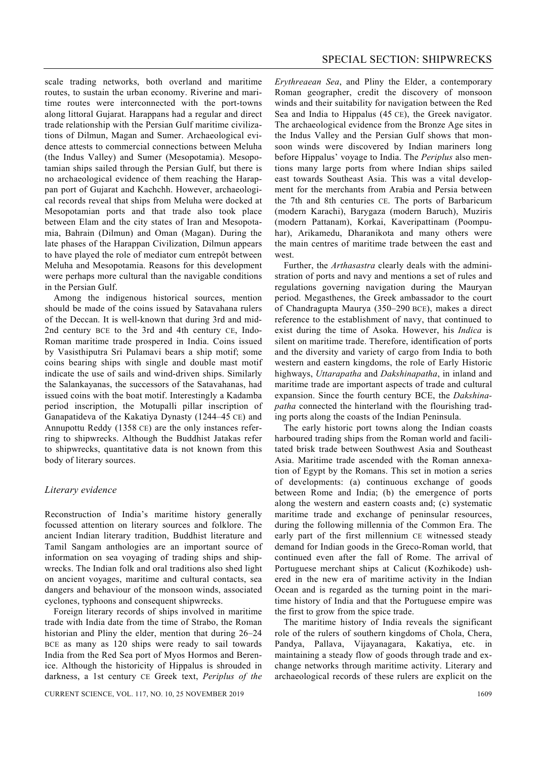scale trading networks, both overland and maritime routes, to sustain the urban economy. Riverine and maritime routes were interconnected with the port-towns along littoral Gujarat. Harappans had a regular and direct trade relationship with the Persian Gulf maritime civilizations of Dilmun, Magan and Sumer. Archaeological evidence attests to commercial connections between Meluha (the Indus Valley) and Sumer (Mesopotamia). Mesopotamian ships sailed through the Persian Gulf, but there is no archaeological evidence of them reaching the Harappan port of Gujarat and Kachchh. However, archaeological records reveal that ships from Meluha were docked at Mesopotamian ports and that trade also took place between Elam and the city states of Iran and Mesopotamia, Bahrain (Dilmun) and Oman (Magan). During the late phases of the Harappan Civilization, Dilmun appears to have played the role of mediator cum entrepôt between Meluha and Mesopotamia. Reasons for this development were perhaps more cultural than the navigable conditions in the Persian Gulf.

 Among the indigenous historical sources, mention should be made of the coins issued by Satavahana rulers of the Deccan. It is well-known that during 3rd and mid-2nd century BCE to the 3rd and 4th century CE, Indo-Roman maritime trade prospered in India. Coins issued by Vasisthiputra Sri Pulamavi bears a ship motif; some coins bearing ships with single and double mast motif indicate the use of sails and wind-driven ships. Similarly the Salankayanas, the successors of the Satavahanas, had issued coins with the boat motif. Interestingly a Kadamba period inscription, the Motupalli pillar inscription of Ganapatideva of the Kakatiya Dynasty (1244–45 CE) and Annupottu Reddy (1358 CE) are the only instances referring to shipwrecks. Although the Buddhist Jatakas refer to shipwrecks, quantitative data is not known from this body of literary sources.

## *Literary evidence*

Reconstruction of India's maritime history generally focussed attention on literary sources and folklore. The ancient Indian literary tradition, Buddhist literature and Tamil Sangam anthologies are an important source of information on sea voyaging of trading ships and shipwrecks. The Indian folk and oral traditions also shed light on ancient voyages, maritime and cultural contacts, sea dangers and behaviour of the monsoon winds, associated cyclones, typhoons and consequent shipwrecks.

 Foreign literary records of ships involved in maritime trade with India date from the time of Strabo, the Roman historian and Pliny the elder, mention that during 26–24 BCE as many as 120 ships were ready to sail towards India from the Red Sea port of Myos Hormos and Berenice. Although the historicity of Hippalus is shrouded in darkness, a 1st century CE Greek text, *Periplus of the*  *Erythreaean Sea*, and Pliny the Elder, a contemporary Roman geographer, credit the discovery of monsoon winds and their suitability for navigation between the Red Sea and India to Hippalus (45 CE), the Greek navigator. The archaeological evidence from the Bronze Age sites in the Indus Valley and the Persian Gulf shows that monsoon winds were discovered by Indian mariners long before Hippalus' voyage to India. The *Periplus* also mentions many large ports from where Indian ships sailed east towards Southeast Asia. This was a vital development for the merchants from Arabia and Persia between the 7th and 8th centuries CE. The ports of Barbaricum (modern Karachi), Barygaza (modern Baruch), Muziris (modern Pattanam), Korkai, Kaveripattinam (Poompuhar), Arikamedu, Dharanikota and many others were the main centres of maritime trade between the east and west

 Further, the *Arthasastra* clearly deals with the administration of ports and navy and mentions a set of rules and regulations governing navigation during the Mauryan period. Megasthenes, the Greek ambassador to the court of Chandragupta Maurya (350–290 BCE), makes a direct reference to the establishment of navy, that continued to exist during the time of Asoka. However, his *Indica* is silent on maritime trade. Therefore, identification of ports and the diversity and variety of cargo from India to both western and eastern kingdoms, the role of Early Historic highways, *Uttarapatha* and *Dakshinapatha*, in inland and maritime trade are important aspects of trade and cultural expansion. Since the fourth century BCE, the *Dakshinapatha* connected the hinterland with the flourishing trading ports along the coasts of the Indian Peninsula.

 The early historic port towns along the Indian coasts harboured trading ships from the Roman world and facilitated brisk trade between Southwest Asia and Southeast Asia. Maritime trade ascended with the Roman annexation of Egypt by the Romans. This set in motion a series of developments: (a) continuous exchange of goods between Rome and India; (b) the emergence of ports along the western and eastern coasts and; (c) systematic maritime trade and exchange of peninsular resources, during the following millennia of the Common Era. The early part of the first millennium CE witnessed steady demand for Indian goods in the Greco-Roman world, that continued even after the fall of Rome. The arrival of Portuguese merchant ships at Calicut (Kozhikode) ushered in the new era of maritime activity in the Indian Ocean and is regarded as the turning point in the maritime history of India and that the Portuguese empire was the first to grow from the spice trade.

 The maritime history of India reveals the significant role of the rulers of southern kingdoms of Chola, Chera, Pandya, Pallava, Vijayanagara, Kakatiya, etc. in maintaining a steady flow of goods through trade and exchange networks through maritime activity. Literary and archaeological records of these rulers are explicit on the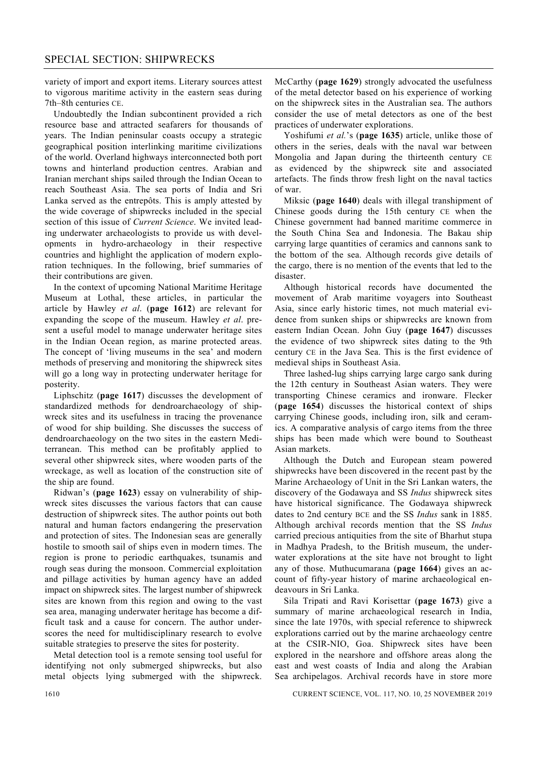variety of import and export items. Literary sources attest to vigorous maritime activity in the eastern seas during 7th–8th centuries CE.

 Undoubtedly the Indian subcontinent provided a rich resource base and attracted seafarers for thousands of years. The Indian peninsular coasts occupy a strategic geographical position interlinking maritime civilizations of the world. Overland highways interconnected both port towns and hinterland production centres. Arabian and Iranian merchant ships sailed through the Indian Ocean to reach Southeast Asia. The sea ports of India and Sri Lanka served as the entrepôts. This is amply attested by the wide coverage of shipwrecks included in the special section of this issue of *Current Science*. We invited leading underwater archaeologists to provide us with developments in hydro-archaeology in their respective countries and highlight the application of modern exploration techniques. In the following, brief summaries of their contributions are given.

 In the context of upcoming National Maritime Heritage Museum at Lothal, these articles, in particular the article by Hawley *et al*. (**page 1612**) are relevant for expanding the scope of the museum. Hawley *et al*. present a useful model to manage underwater heritage sites in the Indian Ocean region, as marine protected areas. The concept of 'living museums in the sea' and modern methods of preserving and monitoring the shipwreck sites will go a long way in protecting underwater heritage for posterity.

 Liphschitz (**page 1617**) discusses the development of standardized methods for dendroarchaeology of shipwreck sites and its usefulness in tracing the provenance of wood for ship building. She discusses the success of dendroarchaeology on the two sites in the eastern Mediterranean. This method can be profitably applied to several other shipwreck sites, where wooden parts of the wreckage, as well as location of the construction site of the ship are found.

 Ridwan's (**page 1623**) essay on vulnerability of shipwreck sites discusses the various factors that can cause destruction of shipwreck sites. The author points out both natural and human factors endangering the preservation and protection of sites. The Indonesian seas are generally hostile to smooth sail of ships even in modern times. The region is prone to periodic earthquakes, tsunamis and rough seas during the monsoon. Commercial exploitation and pillage activities by human agency have an added impact on shipwreck sites. The largest number of shipwreck sites are known from this region and owing to the vast sea area, managing underwater heritage has become a difficult task and a cause for concern. The author underscores the need for multidisciplinary research to evolve suitable strategies to preserve the sites for posterity.

 Metal detection tool is a remote sensing tool useful for identifying not only submerged shipwrecks, but also metal objects lying submerged with the shipwreck. McCarthy (**page 1629**) strongly advocated the usefulness of the metal detector based on his experience of working on the shipwreck sites in the Australian sea. The authors consider the use of metal detectors as one of the best practices of underwater explorations.

 Yoshifumi *et al.*'s (**page 1635**) article, unlike those of others in the series, deals with the naval war between Mongolia and Japan during the thirteenth century CE as evidenced by the shipwreck site and associated artefacts. The finds throw fresh light on the naval tactics of war.

 Miksic (**page 1640**) deals with illegal transhipment of Chinese goods during the 15th century CE when the Chinese government had banned maritime commerce in the South China Sea and Indonesia. The Bakau ship carrying large quantities of ceramics and cannons sank to the bottom of the sea. Although records give details of the cargo, there is no mention of the events that led to the disaster.

 Although historical records have documented the movement of Arab maritime voyagers into Southeast Asia, since early historic times, not much material evidence from sunken ships or shipwrecks are known from eastern Indian Ocean. John Guy (**page 1647**) discusses the evidence of two shipwreck sites dating to the 9th century CE in the Java Sea. This is the first evidence of medieval ships in Southeast Asia.

 Three lashed-lug ships carrying large cargo sank during the 12th century in Southeast Asian waters. They were transporting Chinese ceramics and ironware. Flecker (**page 1654**) discusses the historical context of ships carrying Chinese goods, including iron, silk and ceramics. A comparative analysis of cargo items from the three ships has been made which were bound to Southeast Asian markets.

 Although the Dutch and European steam powered shipwrecks have been discovered in the recent past by the Marine Archaeology of Unit in the Sri Lankan waters, the discovery of the Godawaya and SS *Indus* shipwreck sites have historical significance. The Godawaya shipwreck dates to 2nd century BCE and the SS *Indus* sank in 1885. Although archival records mention that the SS *Indus* carried precious antiquities from the site of Bharhut stupa in Madhya Pradesh, to the British museum, the underwater explorations at the site have not brought to light any of those. Muthucumarana (**page 1664**) gives an account of fifty-year history of marine archaeological endeavours in Sri Lanka.

 Sila Tripati and Ravi Korisettar (**page 1673**) give a summary of marine archaeological research in India, since the late 1970s, with special reference to shipwreck explorations carried out by the marine archaeology centre at the CSIR-NIO, Goa. Shipwreck sites have been explored in the nearshore and offshore areas along the east and west coasts of India and along the Arabian Sea archipelagos. Archival records have in store more